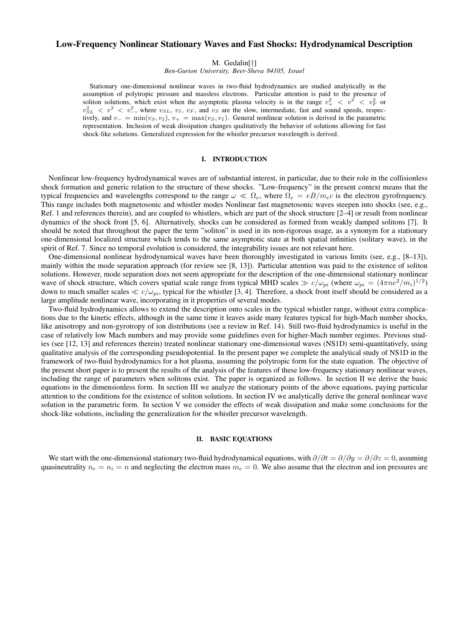# Low-Frequency Nonlinear Stationary Waves and Fast Shocks: Hydrodynamical Description

M. Gedalin[†]

*Ben-Gurion University, Beer-Sheva 84105, Israel*

Stationary one-dimensional nonlinear waves in two-fluid hydrodynamics are studied analytically in the assumption of polytropic pressure and massless electrons. Particular attention is paid to the presence of soliton solutions, which exist when the asymptotic plasma velocity is in the range  $v^2 + \langle v^2 \rangle \langle v^2 \rangle$  or  $v_{SL}^2 < v^2 < v_{-}^2$ , where  $v_{SL}$ ,  $v_I$ ,  $v_F$ , and  $v_S$  are the slow, intermediate, fast and sound speeds, respectively, and  $v_-=\min(v_S, v_I)$ ,  $v_+=\max(v_S, v_I)$ . General nonlinear solution is derived in the parametric representation. Inclusion of weak dissipation changes qualitatively the behavior of solutions allowing for fast shock-like solutions. Generalized expression for the whistler precursor wavelength is derived.

## I. INTRODUCTION

Nonlinear low-frequency hydrodynamical waves are of substantial interest, in particular, due to their role in the collisionless shock formation and generic relation to the structure of these shocks. "Low-frequency" in the present context means that the typical frequencies and wavelengths correspond to the range  $\omega \ll \Omega_e$ , where  $\Omega_e = eB/m_ec$  is the electron gyrofrequency. This range includes both magnetosonic and whistler modes Nonlinear fast magnetosonic waves steepen into shocks (see, e.g., Ref. 1 and references therein), and are coupled to whistlers, which are part of the shock structure [2–4] or result from nonlinear dynamics of the shock front [5, 6]. Alternatively, shocks can be considered as formed from weakly damped solitons [7]. It should be noted that throughout the paper the term "soliton" is used in its non-rigorous usage, as a synonym for a stationary one-dimensional localized structure which tends to the same asymptotic state at both spatial infinities (solitary wave), in the spirit of Ref. 7. Since no temporal evolution is considered, the integrability issues are not relevant here.

One-dimensional nonlinear hydrodynamical waves have been thoroughly investigated in various limits (see, e.g., [8–13]), mainly within the mode separation approach (for review see [8, 13]). Particular attention was paid to the existence of soliton solutions. However, mode separation does not seem appropriate for the description of the one-dimensional stationary nonlinear wave of shock structure, which covers spatial scale range from typical MHD scales  $\gg c/\omega_{pi}$  (where  $\omega_{pi} = (4\pi n e^2/m_i)^{1/2}$ ) down to much smaller scales  $\ll c/\omega_{pi}$ , typical for the whistler [3, 4]. Therefore, a shock front itself should be considered as a large amplitude nonlinear wave, incorporating in it properties of several modes.

Two-fluid hydrodynamics allows to extend the description onto scales in the typical whistler range, without extra complications due to the kinetic effects, although in the same time it leaves aside many features typical for high-Mach number shocks, like anisotropy and non-gyrotropy of ion distributions (see a review in Ref. 14). Still two-fluid hydrodynamics is useful in the case of relatively low Mach numbers and may provide some guidelines even for higher-Mach number regimes. Previous studies (see [12, 13] and references therein) treated nonlinear stationary one-dimensional waves (NS1D) semi-quantitatively, using qualitative analysis of the corresponding pseudopotential. In the present paper we complete the analytical study of NS1D in the framework of two-fluid hydrodynamics for a hot plasma, assuming the polytropic form for the state equation. The objective of the present short paper is to present the results of the analysis of the features of these low-frequency stationary nonlinear waves, including the range of parameters when solitons exist. The paper is organized as follows. In section II we derive the basic equations in the dimensionless form. In section III we analyze the stationary points of the above equations, paying particular attention to the conditions for the existence of soliton solutions. In section IV we analytically derive the general nonlinear wave solution in the parametric form. In section V we consider the effects of weak dissipation and make some conclusions for the shock-like solutions, including the generalization for the whistler precursor wavelength.

### II. BASIC EQUATIONS

We start with the one-dimensional stationary two-fluid hydrodynamical equations, with  $\partial/\partial t = \partial/\partial y = \partial/\partial z = 0$ , assuming quasineutrality  $n_e = n_i = n$  and neglecting the electron mass  $m_e = 0$ . We also assume that the electron and ion pressures are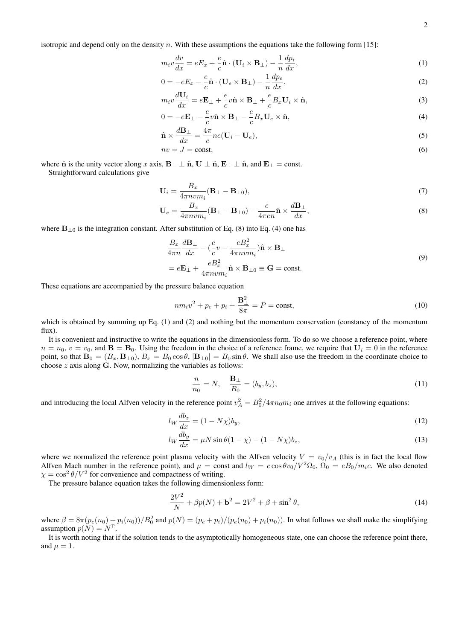isotropic and depend only on the density n. With these assumptions the equations take the following form  $[15]$ :

$$
m_i v \frac{dv}{dx} = eE_x + \frac{e}{c} \hat{\mathbf{n}} \cdot (\mathbf{U}_i \times \mathbf{B}_\perp) - \frac{1}{n} \frac{dp_i}{dx},\tag{1}
$$

$$
0 = -eE_x - \frac{e}{c}\hat{\mathbf{n}} \cdot (\mathbf{U}_e \times \mathbf{B}_\perp) - \frac{1}{n}\frac{dp_e}{dx},\tag{2}
$$

$$
m_i v \frac{d\mathbf{U}_i}{dx} = e\mathbf{E}_{\perp} + \frac{e}{c} v \hat{\mathbf{n}} \times \mathbf{B}_{\perp} + \frac{e}{c} B_x \mathbf{U}_i \times \hat{\mathbf{n}},\tag{3}
$$

$$
0 = -e\mathbf{E}_{\perp} - \frac{e}{c}v\hat{\mathbf{n}} \times \mathbf{B}_{\perp} - \frac{e}{c}B_x\mathbf{U}_e \times \hat{\mathbf{n}},\tag{4}
$$

$$
\hat{\mathbf{n}} \times \frac{d\mathbf{B}_{\perp}}{dx} = \frac{4\pi}{c}ne(\mathbf{U}_i - \mathbf{U}_e),\tag{5}
$$

$$
nv = J = \text{const},\tag{6}
$$

where  $\hat{\bf n}$  is the unity vector along x axis,  ${\bf B}_{\perp} \perp \hat{\bf n}$ ,  ${\bf U} \perp \hat{\bf n}$ ,  ${\bf E}_{\perp} \perp \hat{\bf n}$ , and  ${\bf E}_{\perp} = {\rm const.}$ Straightforward calculations give

$$
\mathbf{U}_i = \frac{B_x}{4\pi n v m_i} (\mathbf{B}_{\perp} - \mathbf{B}_{\perp 0}),\tag{7}
$$

$$
\mathbf{U}_e = \frac{B_x}{4\pi n v m_i} (\mathbf{B}_{\perp} - \mathbf{B}_{\perp 0}) - \frac{c}{4\pi e n} \hat{\mathbf{n}} \times \frac{d\mathbf{B}_{\perp}}{dx},\tag{8}
$$

where  $B_{\perp 0}$  is the integration constant. After substitution of Eq. (8) into Eq. (4) one has

$$
\frac{B_x}{4\pi n} \frac{d\mathbf{B}_{\perp}}{dx} - \left(\frac{e}{c}v - \frac{eB_x^2}{4\pi n v m_i}\right) \hat{\mathbf{n}} \times \mathbf{B}_{\perp}
$$
\n
$$
= e\mathbf{E}_{\perp} + \frac{eB_x^2}{4\pi n v m_i} \hat{\mathbf{n}} \times \mathbf{B}_{\perp 0} \equiv \mathbf{G} = \text{const.}
$$
\n(9)

These equations are accompanied by the pressure balance equation

$$
nm_i v^2 + p_e + p_i + \frac{\mathbf{B}_{\perp}^2}{8\pi} = P = \text{const},\tag{10}
$$

which is obtained by summing up Eq. (1) and (2) and nothing but the momentum conservation (constancy of the momentum flux).

It is convenient and instructive to write the equations in the dimensionless form. To do so we choose a reference point, where  $n = n_0$ ,  $v = v_0$ , and  $B = B_0$ . Using the freedom in the choice of a reference frame, we require that  $U_i = 0$  in the reference point, so that  $\mathbf{B}_0 = (B_x, \mathbf{B}_{\perp 0}), B_x = B_0 \cos \theta$ ,  $|\mathbf{B}_{\perp 0}| = B_0 \sin \theta$ . We shall also use the freedom in the coordinate choice to choose  $z$  axis along  $G$ . Now, normalizing the variables as follows:

$$
\frac{n}{n_0} = N, \quad \frac{\mathbf{B}_\perp}{B_0} = (b_y, b_z),\tag{11}
$$

and introducing the local Alfven velocity in the reference point  $v_A^2 = B_0^2/4\pi n_0 m_i$  one arrives at the following equations:

$$
l_W \frac{db_z}{dx} = (1 - N\chi)b_y,\tag{12}
$$

$$
l_W \frac{db_y}{dx} = \mu N \sin \theta (1 - \chi) - (1 - N\chi) b_z,\tag{13}
$$

where we normalized the reference point plasma velocity with the Alfven velocity  $V = v_0/v_A$  (this is in fact the local flow Alfven Mach number in the reference point), and  $\mu = \text{const}$  and  $l_W = \cos \theta v_0/V^2 \Omega_0$ ,  $\Omega_0 = eB_0/m_i c$ . We also denoted  $\chi = \cos^2 \theta / V^2$  for convenience and compactness of writing.

The pressure balance equation takes the following dimensionless form:

$$
\frac{2V^2}{N} + \beta p(N) + \mathbf{b}^2 = 2V^2 + \beta + \sin^2 \theta,
$$
\n(14)

where  $\beta = 8\pi(p_e(n_0) + p_i(n_0))/B_0^2$  and  $p(N) = (p_e + p_i)/(p_e(n_0) + p_i(n_0))$ . In what follows we shall make the simplifying assumption  $p(N) = N^{\Gamma}$ .

It is worth noting that if the solution tends to the asymptotically homogeneous state, one can choose the reference point there, and  $\mu = 1$ .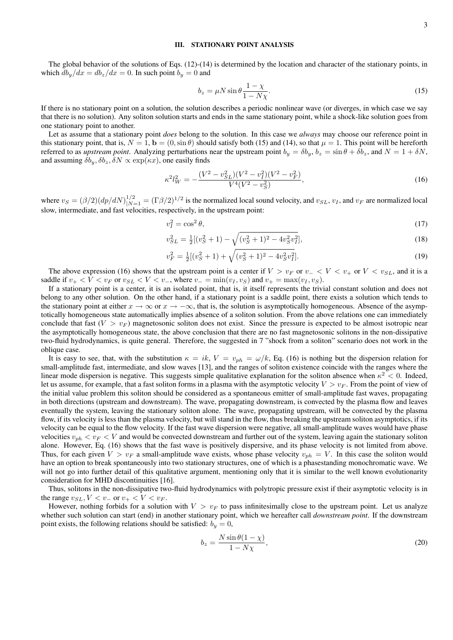### III. STATIONARY POINT ANALYSIS

The global behavior of the solutions of Eqs.  $(12)-(14)$  is determined by the location and character of the stationary points, in which  $db_y/dx = db_z/dx = 0$ . In such point  $b_y = 0$  and

$$
b_z = \mu N \sin \theta \frac{1 - \chi}{1 - N\chi}.\tag{15}
$$

If there is no stationary point on a solution, the solution describes a periodic nonlinear wave (or diverges, in which case we say that there is no solution). Any soliton solution starts and ends in the same stationary point, while a shock-like solution goes from one stationary point to another.

Let as assume that a stationary point *does* belong to the solution. In this case we *always* may choose our reference point in this stationary point, that is,  $N = 1$ ,  $\mathbf{b} = (0, \sin \theta)$  should satisfy both (15) and (14), so that  $\mu = 1$ . This point will be hereforth referred to as *upstream point*. Analyzing perturbations near the upstream point  $b_y = \delta b_y$ ,  $b_z = \sin \theta + \delta b_z$ , and  $N = 1 + \delta N$ , and assuming  $\delta b_y$ ,  $\delta b_z$ ,  $\delta N \propto \exp(\kappa x)$ , one easily finds

$$
\kappa^2 l_W^2 = -\frac{(V^2 - v_{SL}^2)(V^2 - v_I^2)(V^2 - v_F^2)}{V^4(V^2 - v_S^2)},\tag{16}
$$

where  $v_S = (\beta/2)(dp/dN)_{|N=1}^{1/2} = (\Gamma \beta/2)^{1/2}$  is the normalized local sound velocity, and  $v_{SL}$ ,  $v_I$ , and  $v_F$  are normalized local slow, intermediate, and fast velocities, respectively, in the upstream point:

$$
v_I^2 = \cos^2 \theta,\tag{17}
$$

$$
v_{SL}^2 = \frac{1}{2} [(v_S^2 + 1) - \sqrt{(v_S^2 + 1)^2 - 4v_S^2 v_I^2}], \tag{18}
$$

$$
v_F^2 = \frac{1}{2}[(v_S^2 + 1) + \sqrt{(v_S^2 + 1)^2 - 4v_S^2 v_I^2}].
$$
\n(19)

The above expression (16) shows that the upstream point is a center if  $V > v_F$  or  $v - < V < v_+$  or  $V < v_{SL}$ , and it is a saddle if  $v_+ < V < v_F$  or  $v_{SL} < V < v_-,$ , where  $v_- = \min(v_I, v_S)$  and  $v_+ = \max(v_I, v_S)$ .

If a stationary point is a center, it is an isolated point, that is, it itself represents the trivial constant solution and does not belong to any other solution. On the other hand, if a stationary point is a saddle point, there exists a solution which tends to the stationary point at either  $x \to \infty$  or  $x \to -\infty$ , that is, the solution is asymptotically homogeneous. Absence of the asymptotically homogeneous state automatically implies absence of a soliton solution. From the above relations one can immediately conclude that fast  $(V > v_F)$  magnetosonic soliton does not exist. Since the pressure is expected to be almost isotropic near the asymptotically homogeneous state, the above conclusion that there are no fast magnetosonic solitons in the non-dissipative two-fluid hydrodynamics, is quite general. Therefore, the suggested in 7 "shock from a soliton" scenario does not work in the oblique case.

It is easy to see, that, with the substitution  $\kappa = ik$ ,  $V = v_{ph} = \omega/k$ , Eq. (16) is nothing but the dispersion relation for small-amplitude fast, intermediate, and slow waves [13], and the ranges of soliton existence coincide with the ranges where the linear mode dispersion is negative. This suggests simple qualitative explanation for the soliton absence when  $\kappa^2 < 0$ . Indeed, let us assume, for example, that a fast soliton forms in a plasma with the asymptotic velocity  $V > v_F$ . From the point of view of the initial value problem this soliton should be considered as a spontaneous emitter of small-amplitude fast waves, propagating in both directions (upstream and downstream). The wave, propagating downstream, is convected by the plasma flow and leaves eventually the system, leaving the stationary soliton alone. The wave, propagating upstream, will be convected by the plasma flow, if its velocity is less than the plasma velocity, but will stand in the flow, thus breaking the upstream soliton asymptotics, if its velocity can be equal to the flow velocity. If the fast wave dispersion were negative, all small-amplitude waves would have phase velocities  $v_{ph} < v_F < V$  and would be convected downstream and further out of the system, leaving again the stationary soliton alone. However, Eq. (16) shows that the fast wave is positively dispersive, and its phase velocity is not limited from above. Thus, for each given  $V > v_F$  a small-amplitude wave exists, whose phase velocity  $v_{ph} = V$ . In this case the soliton would have an option to break spontaneously into two stationary structures, one of which is a phasestanding monochromatic wave. We will not go into further detail of this qualitative argument, mentioning only that it is similar to the well known evolutionarity consideration for MHD discontinuities [16].

Thus, solitons in the non-dissipative two-fluid hydrodynamics with polytropic pressure exist if their asymptotic velocity is in the range  $v_{SL}$ ,  $V < v_{-}$  or  $v_{+} < V < v_{F}$ .

However, nothing forbids for a solution with  $V > v_F$  to pass infinitesimally close to the upstream point. Let us analyze whether such solution can start (end) in another stationary point, which we hereafter call *downstream point*. If the downstream point exists, the following relations should be satisfied:  $b_y = 0$ ,

$$
b_z = \frac{N\sin\theta(1-\chi)}{1-N\chi},\tag{20}
$$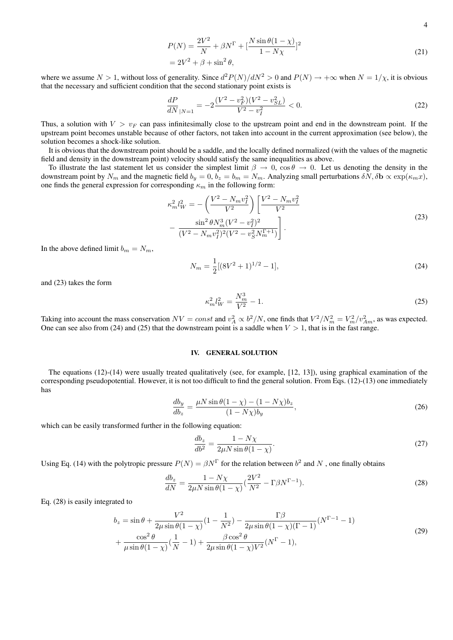$$
P(N) = \frac{2V^2}{N} + \beta N^{\Gamma} + \left[\frac{N\sin\theta(1-\chi)}{1-N\chi}\right]^2
$$
  
=  $2V^2 + \beta + \sin^2\theta$ , (21)

where we assume  $N > 1$ , without loss of generality. Since  $d^2 P(N)/dN^2 > 0$  and  $P(N) \to +\infty$  when  $N = 1/\chi$ , it is obvious that the necessary and sufficient condition that the second stationary point exists is

$$
\frac{dP}{dN}_{|N=1} = -2\frac{(V^2 - v_F^2)(V^2 - v_{SL}^2)}{V^2 - v_I^2} < 0. \tag{22}
$$

Thus, a solution with  $V > v_F$  can pass infinitesimally close to the upstream point and end in the downstream point. If the upstream point becomes unstable because of other factors, not taken into account in the current approximation (see below), the solution becomes a shock-like solution.

It is obvious that the downstream point should be a saddle, and the locally defined normalized (with the values of the magnetic field and density in the downstream point) velocity should satisfy the same inequalities as above.

To illustrate the last statement let us consider the simplest limit  $\beta \to 0$ ,  $\cos \theta \to 0$ . Let us denoting the density in the downstream point by  $N_m$  and the magnetic field  $b_y = 0$ ,  $b_z = b_m = N_m$ . Analyzing small perturbations  $\delta N$ ,  $\delta \mathbf{b} \propto \exp(\kappa_m x)$ , one finds the general expression for corresponding  $\kappa_m$  in the following form:

$$
\kappa_m^2 l_W^2 = -\left(\frac{V^2 - N_m v_I^2}{V^2}\right) \left[\frac{V^2 - N_m v_I^2}{V^2}\right] \n- \frac{\sin^2 \theta N_m^3 (V^2 - v_I^2)^2}{(V^2 - N_m v_I^2)^2 (V^2 - v_S^2 N_m^{\Gamma+1})}.
$$
\n(23)

In the above defined limit  $b_m = N_m$ ,

$$
N_m = \frac{1}{2}[(8V^2 + 1)^{1/2} - 1],\tag{24}
$$

and (23) takes the form

$$
\kappa_m^2 l_W^2 = \frac{N_m^3}{V^2} - 1.
$$
\n(25)

Taking into account the mass conservation  $NV = const$  and  $v_A^2 \propto b^2/N$ , one finds that  $V^2/N_m^2 = V_m^2/v_{Am}^2$ , as was expected. One can see also from (24) and (25) that the downstream point is a saddle when  $V > 1$ , that is in the fast range.

## IV. GENERAL SOLUTION

The equations (12)-(14) were usually treated qualitatively (see, for example, [12, 13]), using graphical examination of the corresponding pseudopotential. However, it is not too difficult to find the general solution. From Eqs. (12)-(13) one immediately has

$$
\frac{db_y}{db_z} = \frac{\mu N \sin \theta (1 - \chi) - (1 - N \chi) b_z}{(1 - N \chi) b_y},\tag{26}
$$

which can be easily transformed further in the following equation:

$$
\frac{db_z}{db^2} = \frac{1 - N\chi}{2\mu N \sin \theta (1 - \chi)}.\tag{27}
$$

Using Eq. (14) with the polytropic pressure  $P(N) = \beta N^{\Gamma}$  for the relation between  $b^2$  and N, one finally obtains

$$
\frac{db_z}{dN} = \frac{1 - N\chi}{2\mu N \sin \theta (1 - \chi)} \left(\frac{2V^2}{N^2} - \Gamma \beta N^{\Gamma - 1}\right). \tag{28}
$$

Eq. (28) is easily integrated to

$$
b_z = \sin \theta + \frac{V^2}{2\mu \sin \theta (1 - \chi)} (1 - \frac{1}{N^2}) - \frac{\Gamma \beta}{2\mu \sin \theta (1 - \chi)(\Gamma - 1)} (N^{\Gamma - 1} - 1) + \frac{\cos^2 \theta}{\mu \sin \theta (1 - \chi)} (\frac{1}{N} - 1) + \frac{\beta \cos^2 \theta}{2\mu \sin \theta (1 - \chi) V^2} (N^{\Gamma} - 1),
$$
(29)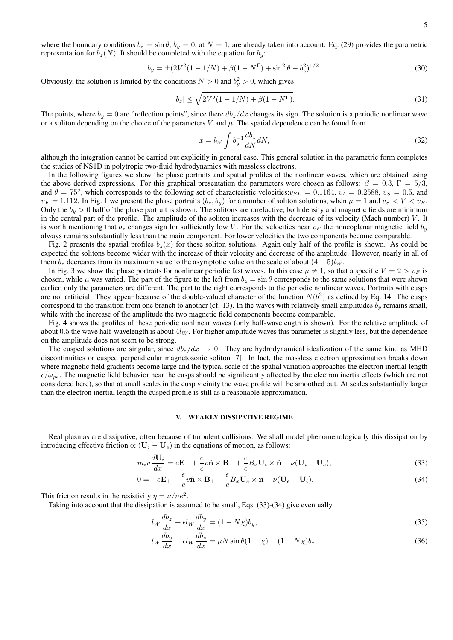where the boundary conditions  $b_z = \sin \theta$ ,  $b_y = 0$ , at  $N = 1$ , are already taken into account. Eq. (29) provides the parametric representation for  $b_z(N)$ . It should be completed with the equation for  $b_y$ :

$$
b_y = \pm (2V^2(1 - 1/N) + \beta(1 - N^{\Gamma}) + \sin^2 \theta - b_z^2)^{1/2}.
$$
 (30)

Obviously, the solution is limited by the conditions  $N > 0$  and  $b_y^2 > 0$ , which gives

$$
|b_z| \le \sqrt{2V^2(1 - 1/N) + \beta(1 - N^{\Gamma})}.
$$
\n(31)

The points, where  $b_y = 0$  are "reflection points", since there  $db_z/dx$  changes its sign. The solution is a periodic nonlinear wave or a soliton depending on the choice of the parameters V and  $\mu$ . The spatial dependence can be found from

$$
x = l_W \int b_y^{-1} \frac{db_z}{dN} dN,
$$
\n(32)

although the integration cannot be carried out explicitly in general case. This general solution in the parametric form completes the studies of NS1D in polytropic two-fluid hydrodynamics with massless electrons.

In the following figures we show the phase portraits and spatial profiles of the nonlinear waves, which are obtained using the above derived expressions. For this graphical presentation the parameters were chosen as follows:  $\beta = 0.3$ ,  $\Gamma = 5/3$ , and  $\theta = 75^{\circ}$ , which corresponds to the following set of characteristic velocities: $v_{SL} = 0.1164$ ,  $v_I = 0.2588$ ,  $v_S = 0.5$ , and  $v_F = 1.112$ . In Fig. 1 we present the phase portraits  $(b_z, b_y)$  for a number of soliton solutions, when  $\mu = 1$  and  $v_S < V < v_F$ . Only the  $b_y > 0$  half of the phase portrait is shown. The solitons are rarefactive, both density and magnetic fields are minimum in the central part of the profile. The amplitude of the soliton increases with the decrease of its velocity (Mach number)  $V$ . It is worth mentioning that  $b_z$  changes sign for sufficiently low V. For the velocities near  $v_F$  the noncoplanar magnetic field  $b_y$ always remains substantially less than the main component. For lower velocities the two components become comparable.

Fig. 2 presents the spatial profiles  $b_z(x)$  for these soliton solutions. Again only half of the profile is shown. As could be expected the solitons become wider with the increase of their velocity and decrease of the amplitude. However, nearly in all of them  $b_z$  decreases from its maximum value to the asymptotic value on the scale of about  $(4-5)l_W$ .

In Fig. 3 we show the phase portraits for nonlinear periodic fast waves. In this case  $\mu \neq 1$ , so that a specific  $V = 2 > v_F$  is chosen, while  $\mu$  was varied. The part of the figure to the left from  $b_z = \sin \theta$  corresponds to the same solutions that were shown earlier, only the parameters are different. The part to the right corresponds to the periodic nonlinear waves. Portraits with cusps are not artificial. They appear because of the double-valued character of the function  $N(b^2)$  as defined by Eq. 14. The cusps correspond to the transition from one branch to another (cf. 13). In the waves with relatively small amplitudes  $b<sub>y</sub>$  remains small, while with the increase of the amplitude the two magnetic field components become comparable.

Fig. 4 shows the profiles of these periodic nonlinear waves (only half-wavelength is shown). For the relative amplitude of about 0.5 the wave half-wavelength is about  $4l_W$ . For higher amplitude waves this parameter is slightly less, but the dependence on the amplitude does not seem to be strong.

The cusped solutions are singular, since  $db_z/dx \rightarrow 0$ . They are hydrodynamical idealization of the same kind as MHD discontinuities or cusped perpendicular magnetosonic soliton [7]. In fact, the massless electron approximation breaks down where magnetic field gradients become large and the typical scale of the spatial variation approaches the electron inertial length  $c/\omega_{pe}$ . The magnetic field behavior near the cusps should be significantly affected by the electron inertia effects (which are not considered here), so that at small scales in the cusp vicinity the wave profile will be smoothed out. At scales substantially larger than the electron inertial length the cusped profile is still as a reasonable approximation.

#### V. WEAKLY DISSIPATIVE REGIME

Real plasmas are dissipative, often because of turbulent collisions. We shall model phenomenologically this dissipation by introducing effective friction  $\propto$  ( $U_i - U_e$ ) in the equations of motion, as follows:

$$
m_i v \frac{d\mathbf{U}_i}{dx} = e\mathbf{E}_{\perp} + \frac{e}{c} v \hat{\mathbf{n}} \times \mathbf{B}_{\perp} + \frac{e}{c} B_x \mathbf{U}_i \times \hat{\mathbf{n}} - \nu (\mathbf{U}_i - \mathbf{U}_e),
$$
\n(33)

$$
0 = -e\mathbf{E}_{\perp} - \frac{e}{c}v\hat{\mathbf{n}} \times \mathbf{B}_{\perp} - \frac{e}{c}B_x\mathbf{U}_e \times \hat{\mathbf{n}} - \nu(\mathbf{U}_e - \mathbf{U}_i). \tag{34}
$$

This friction results in the resistivity  $\eta = \nu/ne^2$ .

Taking into account that the dissipation is assumed to be small, Eqs. (33)-(34) give eventually

$$
l_W \frac{db_z}{dx} + \epsilon l_W \frac{db_y}{dx} = (1 - N\chi)b_y,\tag{35}
$$

$$
l_W \frac{db_y}{dx} - \epsilon l_W \frac{db_z}{dx} = \mu N \sin \theta (1 - \chi) - (1 - N\chi) b_z,\tag{36}
$$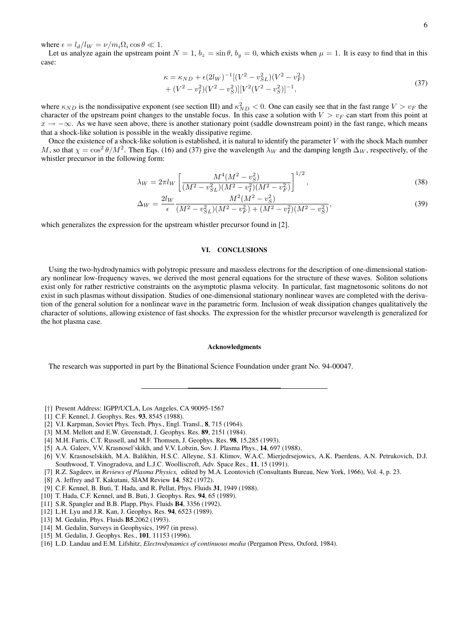where  $\epsilon = l_d/l_W = \nu/m_i\Omega_i \cos\theta \ll 1$ .

Let us analyze again the upstream point  $N = 1$ ,  $b_z = \sin \theta$ ,  $b_y = 0$ , which exists when  $\mu = 1$ . It is easy to find that in this case:

$$
\kappa = \kappa_{ND} + \epsilon (2l_W)^{-1} [(V^2 - v_{SL}^2)(V^2 - v_F^2) + (V^2 - v_I^2)(V^2 - v_S^2)] [V^2(V^2 - v_S^2)]^{-1},
$$
\n(37)

where  $\kappa_{ND}$  is the nondissipative exponent (see section III) and  $\kappa_{ND}^2 < 0$ . One can easily see that in the fast range  $V > v_F$  the character of the upstream point changes to the unstable focus. In this case a solution with  $V > v_F$  can start from this point at  $x \to -\infty$ . As we have seen above, there is another stationary point (saddle downstream point) in the fast range, which means that a shock-like solution is possible in the weakly dissipative regime.

Once the existence of a shock-like solution is established, it is natural to identify the parameter  $V$  with the shock Mach number M, so that  $\chi = \cos^2 \theta / M^2$ . Then Eqs. (16) and (37) give the wavelength  $\lambda_W$  and the damping length  $\Delta_W$ , respectively, of the whistler precursor in the following form:

$$
\lambda_W = 2\pi l_W \left[ \frac{M^4 (M^2 - v_S^2)}{(M^2 - v_{SL}^2)(M^2 - v_I^2)(M^2 - v_F^2)} \right]^{1/2},\tag{38}
$$

$$
\Delta_W = \frac{2l_W}{\epsilon} \frac{M^2 (M^2 - v_S^2)}{(M^2 - v_{SL}^2)(M^2 - v_F^2) + (M^2 - v_I^2)(M^2 - v_S^2)},\tag{39}
$$

which generalizes the expression for the upstream whistler precursor found in [2].

### VI. CONCLUSIONS

Using the two-hydrodynamics with polytropic pressure and massless electrons for the description of one-dimensional stationary nonlinear low-frequency waves, we derived the most general equations for the structure of these waves. Soliton solutions exist only for rather restrictive constraints on the asymptotic plasma velocity. In particular, fast magnetosonic solitons do not exist in such plasmas without dissipation. Studies of one-dimensional stationary nonlinear waves are completed with the derivation of the general solution for a nonlinear wave in the parametric form. Inclusion of weak dissipation changes qualitatively the character of solutions, allowing existence of fast shocks. The expression for the whistler precursor wavelength is generalized for the hot plasma case.

#### Acknowledgments

The research was supported in part by the Binational Science Foundation under grant No. 94-00047.

- [†] Present Address: IGPP/UCLA, Los Angeles, CA 90095-1567
- [1] C.F. Kennel, J. Geophys. Res. 93, 8545 (1988).
- [2] V.I. Karpman, Soviet Phys. Tech. Phys., Engl. Transl., 8, 715 (1964).
- [3] M.M. Mellott and E.W. Greenstadt, J. Geophys. Res. 89, 2151 (1984).
- [4] M.H. Farris, C.T. Russell, and M.F. Thomsen, J. Geophys. Res. 98, 15,285 (1993).
- [5] A.A. Galeev, V.V. Krasnosel'skikh, and V.V. Lobzin, Sov. J. Plasma Phys., 14, 697 (1988).
- [6] V.V. Krasnoselskikh, M.A. Balikhin, H.S.C. Alleyne, S.I. Klimov, W.A.C. Mierjedrsejowics, A.K. Paerdens, A.N. Petrukovich, D.J. Southwood, T. Vinogradova, and L.J.C. Woolliscroft, Adv. Space Res., 11, 15 (1991).
- [7] R.Z. Sagdeev, in *Reviews of Plasma Physics,* edited by M.A. Leontovich (Consultants Bureau, New York, 1966), Vol. 4, p. 23.
- [8] A. Jeffrey and T. Kakutani, SIAM Review 14, 582 (1972).
- [9] C.F. Kennel, B. Buti, T. Hada, and R. Pellat, Phys. Fluids 31, 1949 (1988).
- [10] T. Hada, C.F. Kennel, and B. Buti, J. Geophys. Res. 94, 65 (1989).
- [11] S.R. Spangler and B.B. Plapp, Phys. Fluids **B4**, 3356 (1992).
- [12] L.H. Lyu and J.R. Kan, J. Geophys. Res. 94, 6523 (1989).
- [13] M. Gedalin, Phys. Fluids **B5**, 2062 (1993).
- [14] M. Gedalin, Surveys in Geophysics, 1997 (in press).
- [15] M. Gedalin, J. Geophys. Res., **101**, 11153 (1996).
- [16] L.D. Landau and E.M. Lifshitz, *Electrodynamics of continuous media* (Pergamon Press, Oxford, 1984).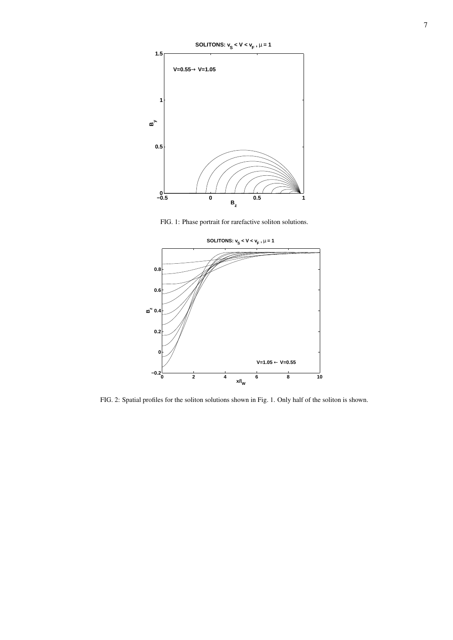

FIG. 1: Phase portrait for rarefactive soliton solutions.



FIG. 2: Spatial profiles for the soliton solutions shown in Fig. 1. Only half of the soliton is shown.